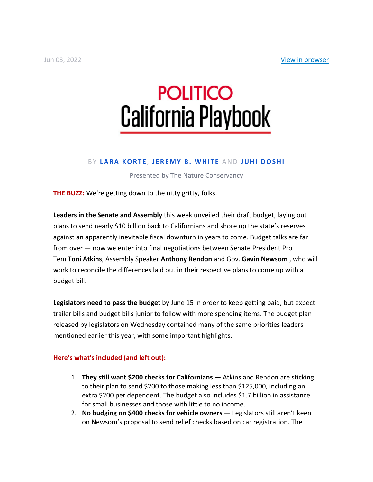# **POLITICO California Playbook**

# B Y **LARA KORTE** , **JEREMY B. WHITE** AND **JUHI DOSHI**

## Presented by The Nature Conservancy

**THE BUZZ:** We're getting down to the nitty gritty, folks.

**Leaders in the Senate and Assembly** this week unveiled their draft budget, laying out plans to send nearly \$10 billion back to Californians and shore up the state's reserves against an apparently inevitable fiscal downturn in years to come. Budget talks are far from over — now we enter into final negotiations between Senate President Pro Tem **Toni Atkins**, Assembly Speaker **Anthony Rendon** and Gov. **Gavin Newsom** , who will work to reconcile the differences laid out in their respective plans to come up with a budget bill.

**Legislators need to pass the budget** by June 15 in order to keep getting paid, but expect trailer bills and budget bills junior to follow with more spending items. The budget plan released by legislators on Wednesday contained many of the same priorities leaders mentioned earlier this year, with some important highlights.

## **Here's what's included (and left out):**

- 1. **They still want \$200 checks for Californians** Atkins and Rendon are sticking to their plan to send \$200 to those making less than \$125,000, including an extra \$200 per dependent. The budget also includes \$1.7 billion in assistance for small businesses and those with little to no income.
- 2. **No budging on \$400 checks for vehicle owners** Legislators still aren't keen on Newsom's proposal to send relief checks based on car registration. The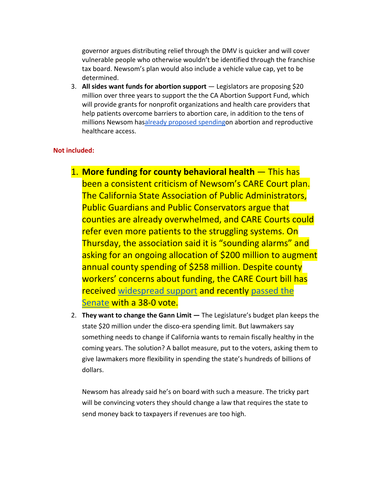governor argues distributing relief through the DMV is quicker and will cover vulnerable people who otherwise wouldn't be identified through the franchise tax board. Newsom's plan would also include a vehicle value cap, yet to be determined.

3. **All sides want funds for abortion support** — Legislators are proposing \$20 million over three years to support the the CA Abortion Support Fund, which will provide grants for nonprofit organizations and health care providers that help patients overcome barriers to abortion care, in addition to the tens of millions Newsom hasalready proposed spendingon abortion and reproductive healthcare access.

## **Not included:**

- 1. **More funding for county behavioral health** This has been a consistent criticism of Newsom's CARE Court plan. The California State Association of Public Administrators, Public Guardians and Public Conservators argue that counties are already overwhelmed, and CARE Courts could refer even more patients to the struggling systems. On Thursday, the association said it is "sounding alarms" and asking for an ongoing allocation of \$200 million to augment annual county spending of \$258 million. Despite county workers' concerns about funding, the CARE Court bill has received widespread support and recently passed the Senate with a 38-0 vote.
- 2. **They want to change the Gann Limit —** The Legislature's budget plan keeps the state \$20 million under the disco-era spending limit. But lawmakers say something needs to change if California wants to remain fiscally healthy in the coming years. The solution? A ballot measure, put to the voters, asking them to give lawmakers more flexibility in spending the state's hundreds of billions of dollars.

Newsom has already said he's on board with such a measure. The tricky part will be convincing voters they should change a law that requires the state to send money back to taxpayers if revenues are too high.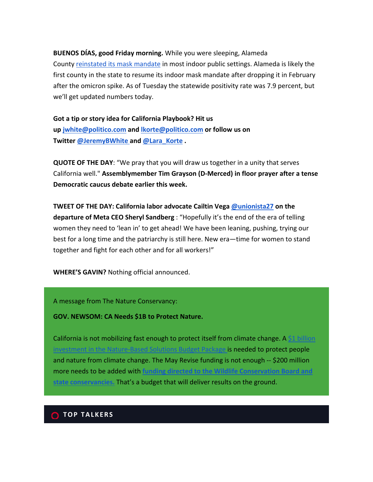#### **BUENOS DÍAS, good Friday morning.** While you were sleeping, Alameda

County reinstated its mask mandate in most indoor public settings. Alameda is likely the first county in the state to resume its indoor mask mandate after dropping it in February after the omicron spike. As of Tuesday the statewide positivity rate was 7.9 percent, but we'll get updated numbers today.

**Got a tip or story idea for California Playbook? Hit us up jwhite@politico.com and lkorte@politico.com or follow us on Twitter @JeremyBWhite and @Lara\_Korte .**

**QUOTE OF THE DAY**: "We pray that you will draw us together in a unity that serves California well." **Assemblymember Tim Grayson (D-Merced) in floor prayer after a tense Democratic caucus debate earlier this week.** 

**TWEET OF THE DAY: California labor advocate Cailtin Vega @unionista27 on the departure of Meta CEO Sheryl Sandberg** : "Hopefully it's the end of the era of telling women they need to 'lean in' to get ahead! We have been leaning, pushing, trying our best for a long time and the patriarchy is still here. New era—time for women to stand together and fight for each other and for all workers!"

**WHERE'S GAVIN?** Nothing official announced.

A message from The Nature Conservancy:

**GOV. NEWSOM: CA Needs \$1B to Protect Nature.**

California is not mobilizing fast enough to protect itself from climate change. A \$1 billion estment in the Nature-Based Solutions Budget Package is needed to protect people and nature from climate change. The May Revise funding is not enough -- \$200 million more needs to be added with **funding directed to the Wildlife Conservation Board and state conservancies.** That's a budget that will deliver results on the ground.

### **C** TOP TALKERS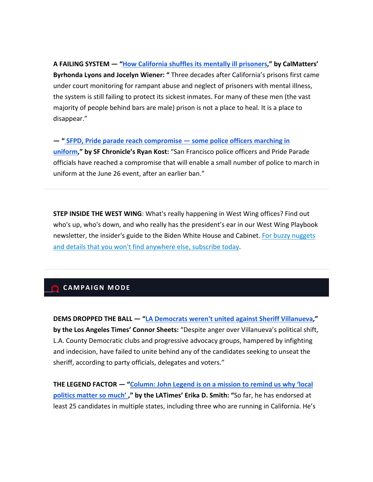**A FAILING SYSTEM — "How California shuffles its mentally ill prisoners," by CalMatters' Byrhonda Lyons and Jocelyn Wiener: "** Three decades after California's prisons first came under court monitoring for rampant abuse and neglect of prisoners with mental illness, the system is still failing to protect its sickest inmates. For many of these men (the vast majority of people behind bars are male) prison is not a place to heal. It is a place to

#### **— " SFPD, Pride parade reach compromise — some police officers marching in**

**uniform," by SF Chronicle's Ryan Kost:** "San Francisco police officers and Pride Parade officials have reached a compromise that will enable a small number of police to march in uniform at the June 26 event, after an earlier ban."

**STEP INSIDE THE WEST WING**: What's really happening in West Wing offices? Find out who's up, who's down, and who really has the president's ear in our West Wing Playbook newsletter, the insider's guide to the Biden White House and Cabinet. For buzzy nuggets and details that you won't find anywhere else, subscribe today.

# **CAMPAIGN MODE**

disappear."

**DEMS DROPPED THE BALL — "LA Democrats weren't united against Sheriff Villanueva," by the Los Angeles Times' Connor Sheets:** "Despite anger over Villanueva's political shift, L.A. County Democratic clubs and progressive advocacy groups, hampered by infighting and indecision, have failed to unite behind any of the candidates seeking to unseat the sheriff, according to party officials, delegates and voters."

**THE LEGEND FACTOR — "Column: John Legend is on a mission to remind us why 'local politics matter so much' ," by the LATimes' Erika D. Smith: "**So far, he has endorsed at least 25 candidates in multiple states, including three who are running in California. He's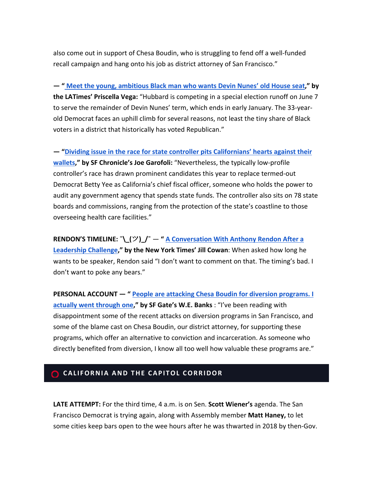also come out in support of Chesa Boudin, who is struggling to fend off a well-funded recall campaign and hang onto his job as district attorney of San Francisco."

**— " Meet the young, ambitious Black man who wants Devin Nunes' old House seat," by the LATimes' Priscella Vega:** "Hubbard is competing in a special election runoff on June 7 to serve the remainder of Devin Nunes' term, which ends in early January. The 33-yearold Democrat faces an uphill climb for several reasons, not least the tiny share of Black voters in a district that historically has voted Republican."

**— "Dividing issue in the race for state controller pits Californians' hearts against their wallets," by SF Chronicle's Joe Garofoli:** "Nevertheless, the typically low-profile controller's race has drawn prominent candidates this year to replace termed-out Democrat Betty Yee as California's chief fiscal officer, someone who holds the power to audit any government agency that spends state funds. The controller also sits on 78 state boards and commissions, ranging from the protection of the state's coastline to those overseeing health care facilities."

**RENDON'S TIMELINE: ¯\\_(**ツ**)\_/¯** — **" A Conversation With Anthony Rendon After a Leadership Challenge," by the New York Times' Jill Cowan**: When asked how long he wants to be speaker, Rendon said "I don't want to comment on that. The timing's bad. I don't want to poke any bears."

**PERSONAL ACCOUNT — " People are attacking Chesa Boudin for diversion programs. I actually went through one," by SF Gate's W.E. Banks** : "I've been reading with disappointment some of the recent attacks on diversion programs in San Francisco, and some of the blame cast on Chesa Boudin, our district attorney, for supporting these programs, which offer an alternative to conviction and incarceration. As someone who directly benefited from diversion, I know all too well how valuable these programs are."

# **CALIFORNIA AND THE CAPITOL CORRIDOR**

**LATE ATTEMPT:** For the third time, 4 a.m. is on Sen. **Scott Wiener's** agenda. The San Francisco Democrat is trying again, along with Assembly member **Matt Haney,** to let some cities keep bars open to the wee hours after he was thwarted in 2018 by then-Gov.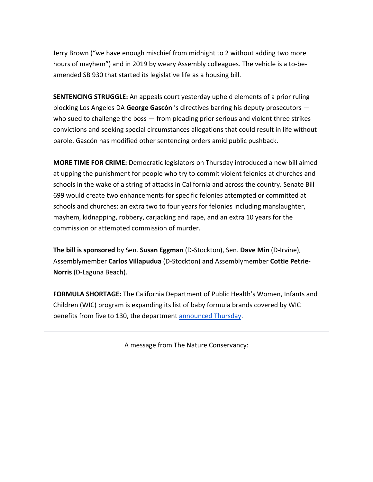Jerry Brown ("we have enough mischief from midnight to 2 without adding two more hours of mayhem") and in 2019 by weary Assembly colleagues. The vehicle is a to-beamended SB 930 that started its legislative life as a housing bill.

**SENTENCING STRUGGLE:** An appeals court yesterday upheld elements of a prior ruling blocking Los Angeles DA **George Gascón** 's directives barring his deputy prosecutors who sued to challenge the boss — from pleading prior serious and violent three strikes convictions and seeking special circumstances allegations that could result in life without parole. Gascón has modified other sentencing orders amid public pushback.

**MORE TIME FOR CRIME:** Democratic legislators on Thursday introduced a new bill aimed at upping the punishment for people who try to commit violent felonies at churches and schools in the wake of a string of attacks in California and across the country. Senate Bill 699 would create two enhancements for specific felonies attempted or committed at schools and churches: an extra two to four years for felonies including manslaughter, mayhem, kidnapping, robbery, carjacking and rape, and an extra 10 years for the commission or attempted commission of murder.

**The bill is sponsored** by Sen. **Susan Eggman** (D-Stockton), Sen. **Dave Min** (D-Irvine), Assemblymember **Carlos Villapudua** (D-Stockton) and Assemblymember **Cottie Petrie-Norris** (D-Laguna Beach).

**FORMULA SHORTAGE:** The California Department of Public Health's Women, Infants and Children (WIC) program is expanding its list of baby formula brands covered by WIC benefits from five to 130, the department announced Thursday.

A message from The Nature Conservancy: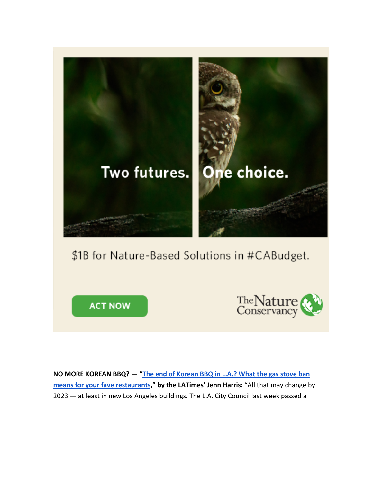

**ACT NOW** 



**NO MORE KOREAN BBQ? — "The end of Korean BBQ in L.A.? What the gas stove ban means for your fave restaurants," by the LATimes' Jenn Harris:** "All that may change by 2023 — at least in new Los Angeles buildings. The L.A. City Council last week passed a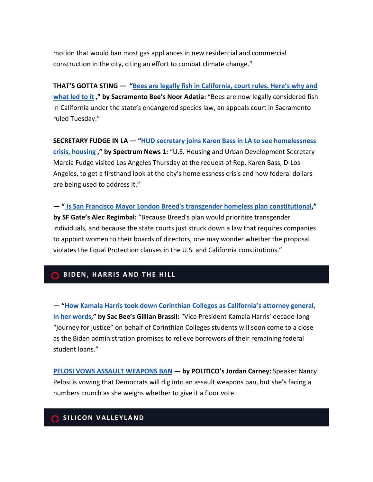motion that would ban most gas appliances in new residential and commercial construction in the city, citing an effort to combat climate change."

**THAT'S GOTTA STING — "Bees are legally fish in California, court rules. Here's why and what led to it ," by Sacramento Bee's Noor Adatia:** "Bees are now legally considered fish in California under the state's endangered species law, an appeals court in Sacramento ruled Tuesday."

**SECRETARY FUDGE IN LA — "HUD secretary joins Karen Bass in LA to see homelessness crisis, housing ," by Spectrum News 1:** "U.S. Housing and Urban Development Secretary Marcia Fudge visited Los Angeles Thursday at the request of Rep. Karen Bass, D-Los Angeles, to get a firsthand look at the city's homelessness crisis and how federal dollars are being used to address it."

**— " Is San Francisco Mayor London Breed's transgender homeless plan constitutional," by SF Gate's Alec Regimbal:** "Because Breed's plan would prioritize transgender individuals, and because the state courts just struck down a law that requires companies to appoint women to their boards of directors, one may wonder whether the proposal violates the Equal Protection clauses in the U.S. and California constitutions."

# **BIDEN, HARRIS AND THE HILL**

**— "How Kamala Harris took down Corinthian Colleges as California's attorney general, in her words," by Sac Bee's Gillian Brassil:** "Vice President Kamala Harris' decade-long "journey for justice" on behalf of Corinthian Colleges students will soon come to a close as the Biden administration promises to relieve borrowers of their remaining federal student loans."

**PELOSI VOWS ASSAULT WEAPONS BAN — by POLITICO's Jordan Carney:** Speaker Nancy Pelosi is vowing that Democrats will dig into an assault weapons ban, but she's facing a numbers crunch as she weighs whether to give it a floor vote.

### **SILICON VALLEYLAND**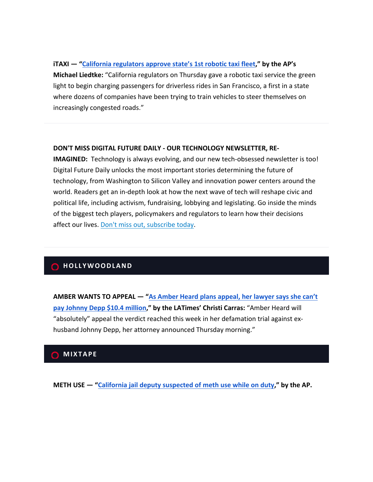## **iTAXI — "California regulators approve state's 1st robotic taxi fleet," by the AP's**

**Michael Liedtke:** "California regulators on Thursday gave a robotic taxi service the green light to begin charging passengers for driverless rides in San Francisco, a first in a state where dozens of companies have been trying to train vehicles to steer themselves on increasingly congested roads."

#### **DON'T MISS DIGITAL FUTURE DAILY - OUR TECHNOLOGY NEWSLETTER, RE-**

**IMAGINED:** Technology is always evolving, and our new tech-obsessed newsletter is too! Digital Future Daily unlocks the most important stories determining the future of technology, from Washington to Silicon Valley and innovation power centers around the world. Readers get an in-depth look at how the next wave of tech will reshape civic and political life, including activism, fundraising, lobbying and legislating. Go inside the minds of the biggest tech players, policymakers and regulators to learn how their decisions affect our lives. Don't miss out, subscribe today.

## **C**HOLLYWOODLAND

**AMBER WANTS TO APPEAL — "As Amber Heard plans appeal, her lawyer says she can't pay Johnny Depp \$10.4 million," by the LATimes' Christi Carras:** "Amber Heard will "absolutely" appeal the verdict reached this week in her defamation trial against exhusband Johnny Depp, her attorney announced Thursday morning."

# **MIXTAPE**

**METH USE — "California jail deputy suspected of meth use while on duty," by the AP.**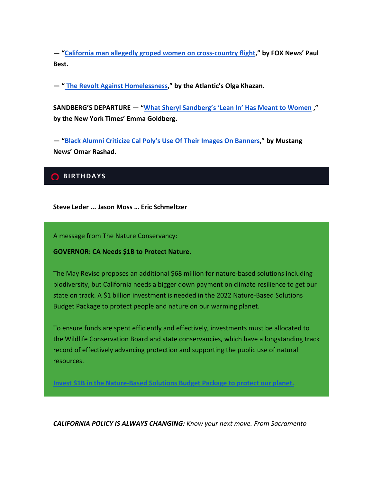**— "California man allegedly groped women on cross-country flight," by FOX News' Paul Best.**

**— " The Revolt Against Homelessness," by the Atlantic's Olga Khazan.**

**SANDBERG'S DEPARTURE — "What Sheryl Sandberg's 'Lean In' Has Meant to Women ," by the New York Times' Emma Goldberg.**

**— "Black Alumni Criticize Cal Poly's Use Of Their Images On Banners," by Mustang News' Omar Rashad.**

## **BIRTHDAYS**

**Steve Leder ... Jason Moss … Eric Schmeltzer**

A message from The Nature Conservancy:

**GOVERNOR: CA Needs \$1B to Protect Nature.**

The May Revise proposes an additional \$68 million for nature-based solutions including biodiversity, but California needs a bigger down payment on climate resilience to get our state on track. A \$1 billion investment is needed in the 2022 Nature-Based Solutions Budget Package to protect people and nature on our warming planet.

To ensure funds are spent efficiently and effectively, investments must be allocated to the Wildlife Conservation Board and state conservancies, which have a longstanding track record of effectively advancing protection and supporting the public use of natural resources.

**Invest \$1B in the Nature-Based Solutions Budget Package to protect our planet.**

*CALIFORNIA POLICY IS ALWAYS CHANGING: Know your next move. From Sacramento*